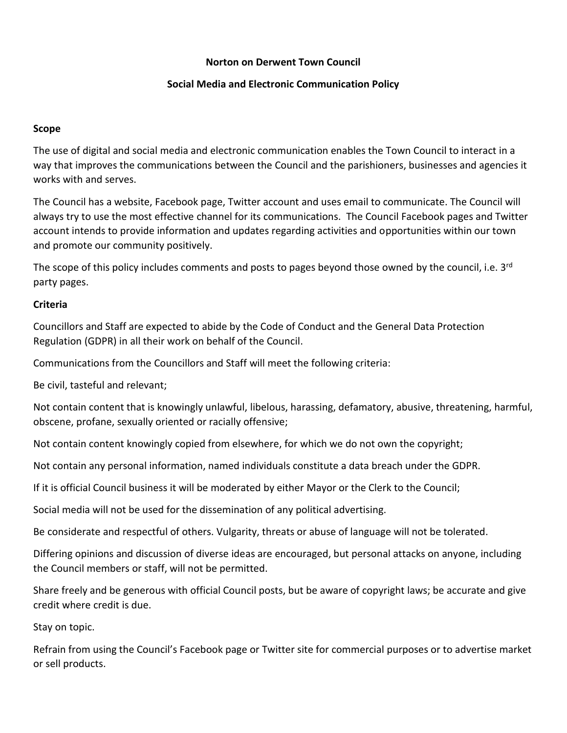#### **Norton on Derwent Town Council**

# **Social Media and Electronic Communication Policy**

## **Scope**

The use of digital and social media and electronic communication enables the Town Council to interact in a way that improves the communications between the Council and the parishioners, businesses and agencies it works with and serves.

The Council has a website, Facebook page, Twitter account and uses email to communicate. The Council will always try to use the most effective channel for its communications. The Council Facebook pages and Twitter account intends to provide information and updates regarding activities and opportunities within our town and promote our community positively.

The scope of this policy includes comments and posts to pages beyond those owned by the council, i.e. 3<sup>rd</sup> party pages.

# **Criteria**

Councillors and Staff are expected to abide by the Code of Conduct and the General Data Protection Regulation (GDPR) in all their work on behalf of the Council.

Communications from the Councillors and Staff will meet the following criteria:

Be civil, tasteful and relevant;

Not contain content that is knowingly unlawful, libelous, harassing, defamatory, abusive, threatening, harmful, obscene, profane, sexually oriented or racially offensive;

Not contain content knowingly copied from elsewhere, for which we do not own the copyright;

Not contain any personal information, named individuals constitute a data breach under the GDPR.

If it is official Council business it will be moderated by either Mayor or the Clerk to the Council;

Social media will not be used for the dissemination of any political advertising.

Be considerate and respectful of others. Vulgarity, threats or abuse of language will not be tolerated.

Differing opinions and discussion of diverse ideas are encouraged, but personal attacks on anyone, including the Council members or staff, will not be permitted.

Share freely and be generous with official Council posts, but be aware of copyright laws; be accurate and give credit where credit is due.

Stay on topic.

Refrain from using the Council's Facebook page or Twitter site for commercial purposes or to advertise market or sell products.